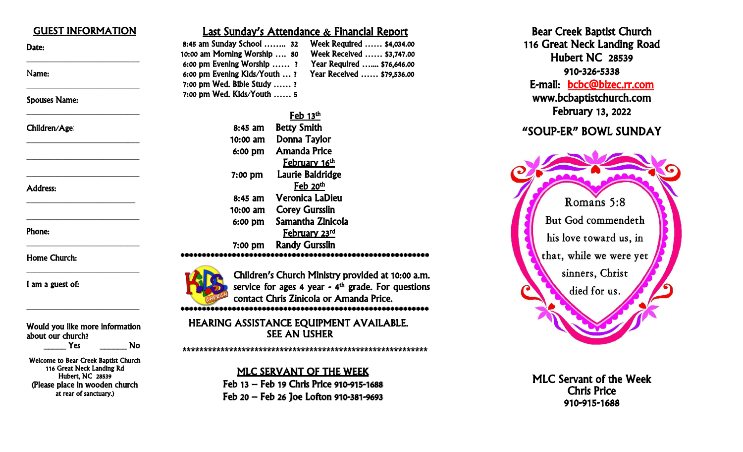| <b>GUEST INFORMATION</b>        | <b>Last Sunday's Attendance &amp; Financial Report</b>                                                              |
|---------------------------------|---------------------------------------------------------------------------------------------------------------------|
| Date:                           | 8:45 am Sunday School  32<br>Week Required  \$4,034.00<br>10:00 am Morning Worship  80<br>Week Received  \$3,747.00 |
|                                 | Year Required  \$76,646.00<br>6:00 pm Evening Worship  ?                                                            |
| Name:                           | Year Received  \$79,536.00<br>6:00 pm Evening Kids/Youth ?                                                          |
|                                 | 7:00 pm Wed. Bible Study ?                                                                                          |
| <b>Spouses Name:</b>            | 7:00 pm Wed. Kids/Youth  5                                                                                          |
|                                 | ${\rm Feb}$ 13 <sup>th</sup>                                                                                        |
| Children/Age:                   | <b>Betty Smith</b><br>$8:45$ am                                                                                     |
|                                 | Donna Taylor<br>$10:00$ am                                                                                          |
|                                 | <b>Amanda Price</b><br>6:00 pm                                                                                      |
|                                 | February 16 <sup>th</sup>                                                                                           |
|                                 | Laurie Baldridge<br>7:00 pm                                                                                         |
| <b>Address:</b>                 | ${\rm Feb}$ 20 <sup>th</sup>                                                                                        |
|                                 | <b>Veronica LaDieu</b><br>$8:45$ am                                                                                 |
|                                 | <b>Corey Gursslin</b><br>10:00 am                                                                                   |
| Phone:                          | Samantha Zinicola<br>6:00 pm                                                                                        |
|                                 | February 23rd                                                                                                       |
|                                 | <b>Randy Gursslin</b><br>$7:00$ pm                                                                                  |
| <b>Home Church:</b>             |                                                                                                                     |
|                                 | Children's Church Ministry provided at 10:00 a.m.                                                                   |
| I am a guest of:                | service for ages 4 year - $4th$ grade. For questions                                                                |
|                                 | contact Chris Zinicola or Amanda Price.                                                                             |
|                                 |                                                                                                                     |
| Would you like more information | HEARING ASSISTANCE EQUIPMENT AVAILABLE.                                                                             |
| about our church?               | <b>SEE AN USHER</b>                                                                                                 |
|                                 |                                                                                                                     |

**\*\*\*\*\*\*\*\*\*\*\*\*\*\*\*\*\*\*\*\*\*\*\*\*\*\*\*\*\*\*\*\*\*\*\*\*\*\*\*\*\*\*\*\*\*\*\*\*\*\*\*\*\*\*\*\*\*\***

MLC SERVANT OF THE WEEK Feb 13 – Feb 19 Chris Price 910 -915 -1688 Feb 20 – Feb 26 Joe Lofton 910 -381 -9693

Yes No

Welcome to Bear Creek Baptist Church 116 Great Neck Landing Rd Hubert, NC 28539 (Please place in wooden church at rear of sanctuary.)

Bear Cree k Baptist Church 116 Great Neck Landing Road Hubert NC 28539 910 -326 E-mail: bcbc@bizec.rr.com www .bcbaptistchurch.com February 13, 2022

### "SOUP -ER" BOWL SUNDAY



MLC Servant of the Week Chris Price 910 -915 -1688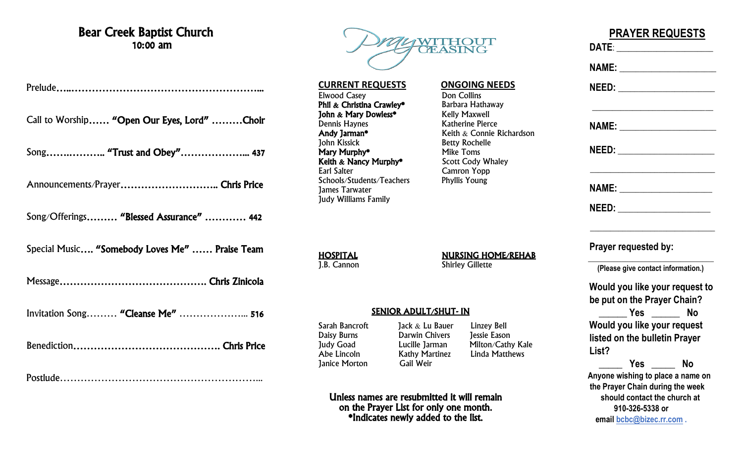## Bear Creek Baptist Church 10:00 am

Prelude…..………………………………………………...

Call to Worship…… "Open Our Eyes, Lord" ………Choir

Song…….……….. "Trust and Obey"………………... 437

Announcements/Prayer……………………….. Chris Price

Song/Offerings……… "Blessed Assurance" ………… 442

Special Music…. "Somebody Loves Me" …… Praise Team

Message……………………………………. Chris Zinicola

Invitation Song……… "Cleanse Me" ………………... 516

Benediction……………………………………. Chris Price

Postlude…………………………………………………...



**CURRENT REQUESTS ONGOING NEEDS** Elwood Casey<br> **Phil & Christina Crawley\*** Barbara Hathaway **Phil & Christina Crawley\*** Barbara Hathawa<br>**Phil & Mary Dowless\*** Kelly Maxwell John & Mary Dowless\*<br>Dennis Haynes Dennis Haynes<br> **Andy Jarman\*** Keith & Connie I John Kissick<br> **Mary Murphy\*** Betty Rochelle<br>
Mike Toms Mary Murphy<sup>\*</sup> Mike Toms<br> **Keith & Nancy Murphy\*** Scott Cody Whaley Keith  $\&$  Nancy Murphy\*<br>Earl Salter Schools/Students/Teachers James Tarwater Judy Williams Family

Keith  $\&$  Connie Richardson Camron Yopp<br>Phyllis Young

**HOSPITAL**<br> **NURSING HOME/REHAB**<br>
Shirley Gillette<br>
Shirley Gillette

**Shirley Gillette** 

### SENIOR ADULT/SHUT- IN

**Janice Morton** 

Sarah Bancroft Jack & Lu Bauer Linzey Bell Daisy Burns Darwin Chivers Jessie Eason Judy Goad Lucille Jarman Milton/Cathy Kale<br>Abe Lincoln Kathy Martinez Linda Matthews Kathy Martinez<br>Gail Weir

Unless names are resubmitted it will remain on the Prayer List for only one month. \*Indicates newly added to the list.

|                                        | NAME: ________________________        |
|----------------------------------------|---------------------------------------|
|                                        |                                       |
|                                        |                                       |
|                                        | NEED: ___________________             |
|                                        | <b>NAME:</b> _____________________    |
|                                        | NEED: ________________________        |
| Prayer requested by:                   |                                       |
|                                        | (Please give contact information.)    |
|                                        | Would you like your request to        |
| be put on the Prayer Chain?            |                                       |
|                                        | Yes $\rule{1em}{0.15mm}$<br><b>No</b> |
| Would you like your request            |                                       |
| listed on the bulletin Prayer<br>List? |                                       |
|                                        | No                                    |
| the Prayer Chain during the week       | Anyone wishing to place a name on     |
|                                        | should contact the church at          |
| 910-326-5338 or                        |                                       |

**PRAYER REQUESTS**

**email [bcbc@bizec.rr.com](mailto:bcbc@bizec.rr.com) .**